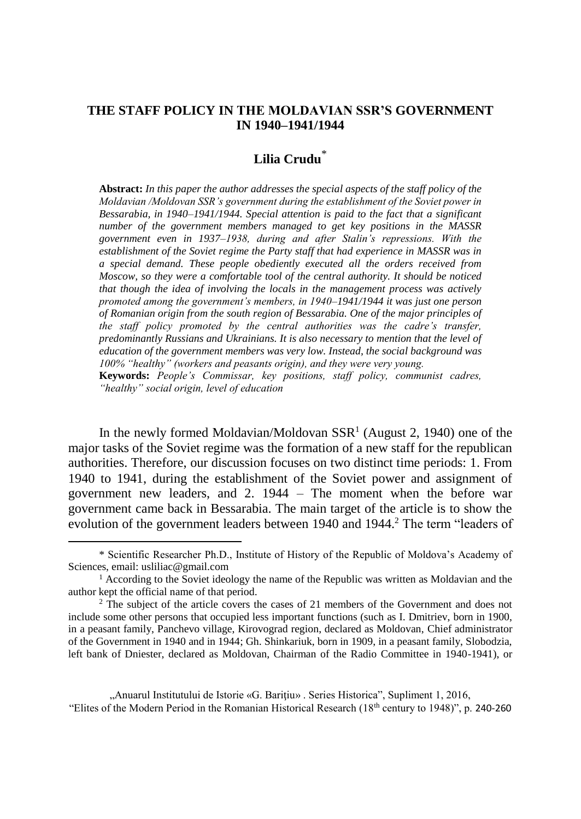### **THE STAFF POLICY IN THE MOLDAVIAN SSR'S GOVERNMENT IN 1940–1941/1944**

# **Lilia Crudu**\*

**Abstract:** *In this paper the author addresses the special aspects of the staff policy of the Moldavian /Moldovan SSR's government during the establishment of the Soviet power in Bessarabia, in 1940–1941/1944. Special attention is paid to the fact that a significant number of the government members managed to get key positions in the MASSR government even in 1937–1938, during and after Stalin's repressions. With the establishment of the Soviet regime the Party staff that had experience in MASSR was in a special demand. These people obediently executed all the orders received from Moscow, so they were a comfortable tool of the central authority. It should be noticed that though the idea of involving the locals in the management process was actively promoted among the government's members, in 1940–1941/1944 it was just one person of Romanian origin from the south region of Bessarabia. One of the major principles of the staff policy promoted by the central authorities was the cadre's transfer, predominantly Russians and Ukrainians. It is also necessary to mention that the level of education of the government members was very low. Instead, the social background was 100% "healthy" (workers and peasants origin), and they were very young.*

**Keywords:** *People's Commissar, key positions, staff policy, communist cadres, "healthy" social origin, level of education*

In the newly formed Moldavian/Moldovan  $SSR<sup>1</sup>$  (August 2, 1940) one of the major tasks of the Soviet regime was the formation of a new staff for the republican authorities. Therefore, our discussion focuses on two distinct time periods: 1. From 1940 to 1941, during the establishment of the Soviet power and assignment of government new leaders, and 2. 1944 – The moment when the before war government came back in Bessarabia. The main target of the article is to show the evolution of the government leaders between 1940 and 1944.<sup>2</sup> The term "leaders of

 $\overline{a}$ 

"Anuarul Institutului de Istorie «G. Bariţiu» . Series Historica", Supliment 1, 2016, "Elites of the Modern Period in the Romanian Historical Research (18th century to 1948)", p. 240-260

<sup>\*</sup> Scientific Researcher Ph.D., Institute of History of the Republic of Moldova's Academy of Sciences, email: usliliac@gmail.com

<sup>&</sup>lt;sup>1</sup> According to the Soviet ideology the name of the Republic was written as Moldavian and the author kept the official name of that period.

<sup>2</sup> The subject of the article covers the cases of 21 members of the Government and does not include some other persons that occupied less important functions (such as I. Dmitriev, born in 1900, in a peasant family, Panchevo village, Kirovograd region, declared as Moldovan, [Chief administrator](http://www.multitran.ru/c/m.exe?t=6478557_1_2&s1=%F3%EF%F0%E0%E2%EB%FF%FE%F9%E8%E9%20%E4%E5%EB%E0%EC%E8) of the Government in 1940 and in 1944; Gh. Shinkariuk, born in 1909, in a peasant family, Slobodzia, left bank of Dniester, declared as Moldovan, Chairman of the Radio Committee in 1940-1941), or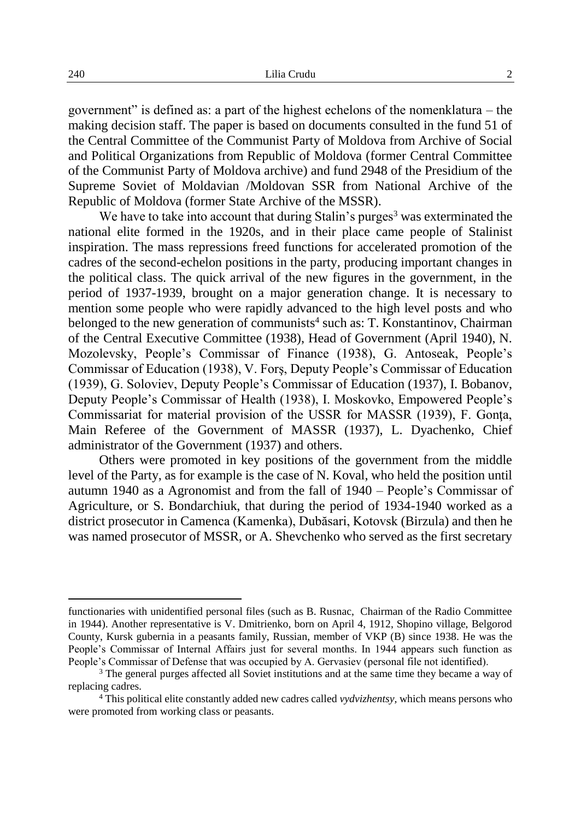government" is defined as: a part of the highest echelons of the nomenklatura – the making decision staff. The paper is based on documents consulted in the fund 51 of the Central Committee of the Communist Party of Moldova from Archive of Social and Political Organizations from Republic of Moldova (former Central Committee of the Communist Party of Moldova archive) and fund 2948 of the Presidium of the Supreme Soviet of Moldavian /Moldovan SSR from National Archive of the Republic of Moldova (former State Archive of the MSSR).

We have to take into account that during Stalin's purges<sup>3</sup> was exterminated the national elite formed in the 1920s, and in their place came people of Stalinist inspiration. The mass repressions freed functions for accelerated promotion of the cadres of the second-echelon positions in the party, producing important changes in the political class. The quick arrival of the new figures in the government, in the period of 1937-1939, brought on a major generation change. It is necessary to mention some people who were rapidly advanced to the high level posts and who belonged to the new generation of communists<sup>4</sup> such as: T. Konstantinov, Chairman of the Central Executive Committee (1938), Head of Government (April 1940), N. Mozolevsky, People's Commissar of Finance (1938), G. Antoseak, People's Commissar of Education (1938), V. Forş, Deputy People's Commissar of Education (1939), G. Soloviev, Deputy People's Commissar of Education (1937), I. Bobanov, Deputy People's Commissar of Health (1938), I. Moskovko, Empowered People's Commissariat for material provision of the USSR for MASSR (1939), F. Gonţa, Main Referee of the Government of MASSR (1937), L. Dyachenko, [Chief](http://www.multitran.ru/c/m.exe?t=6478557_1_2&s1=%F3%EF%F0%E0%E2%EB%FF%FE%F9%E8%E9%20%E4%E5%EB%E0%EC%E8)  [administrator](http://www.multitran.ru/c/m.exe?t=6478557_1_2&s1=%F3%EF%F0%E0%E2%EB%FF%FE%F9%E8%E9%20%E4%E5%EB%E0%EC%E8) of the Government (1937) and others.

Others were promoted in key positions of the government from the middle level of the Party, as for example is the case of N. Koval, who held the position until autumn 1940 as a Agronomist and from the fall of 1940 – People's Commissar of Agriculture, or S. Bondarchiuk, that during the period of 1934-1940 worked as a district prosecutor in Camenca (Kamenka), Dubăsari, Kotovsk (Birzula) and then he was named prosecutor of MSSR, or A. Shevchenko who served as the first secretary

functionaries with unidentified personal files (such as B. Rusnac, Chairman of the Radio Committee in 1944). Another representative is V. Dmitrienko, born on April 4, 1912, Shopino village, Belgorod County, Kursk gubernia in a peasants family, Russian, member of VKP (B) since 1938. He was the People's Commissar of Internal Affairs just for several months. In 1944 appears such function as People's Commissar of Defense that was occupied by A. Gervasiev (personal file not identified).

<sup>&</sup>lt;sup>3</sup> The general purges affected all Soviet institutions and at the same time they became a way of replacing cadres.

<sup>4</sup> This political elite constantly added new cadres called *vydvizhentsy,* which means persons who were promoted from working class or peasants.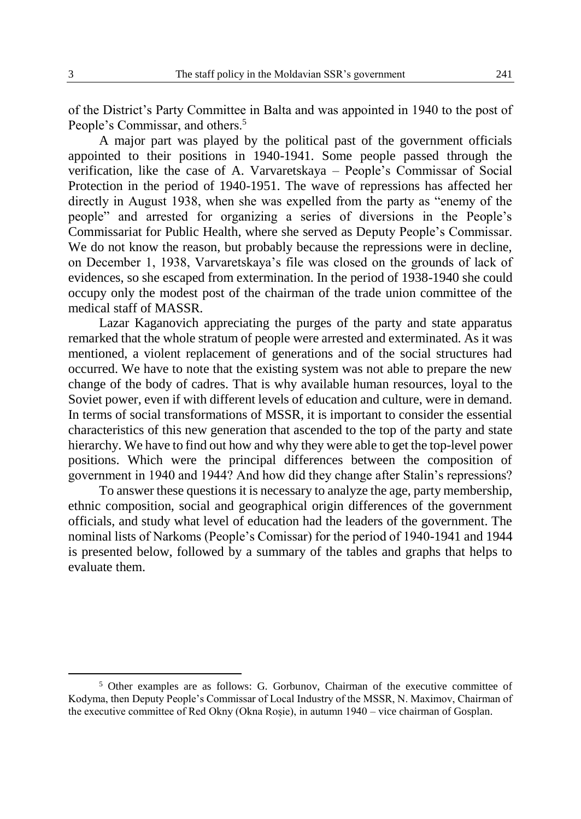of the District's Party Committee in Balta and was appointed in 1940 to the post of People's Commissar, and others.<sup>5</sup>

A major part was played by the political past of the government officials appointed to their positions in 1940-1941. Some people passed through the verification, like the case of A. Varvaretskaya – People's Commissar of Social Protection in the period of 1940-1951. The wave of repressions has affected her directly in August 1938, when she was expelled from the party as "enemy of the people" and arrested for organizing a series of diversions in the People's Commissariat for Public Health, where she served as Deputy People's Commissar. We do not know the reason, but probably because the repressions were in decline, on December 1, 1938, Varvaretskaya's file was closed on the grounds of lack of evidences, so she escaped from extermination. In the period of 1938-1940 she could occupy only the modest post of the chairman of the trade union committee of the medical staff of MASSR.

Lazar Kaganovich appreciating the purges of the party and state apparatus remarked that the whole stratum of people were arrested and exterminated. As it was mentioned, a violent replacement of generations and of the social structures had occurred. We have to note that the existing system was not able to prepare the new change of the body of cadres. That is why available human resources, loyal to the Soviet power, even if with different levels of education and culture, were in demand. In terms of social transformations of MSSR, it is important to consider the essential characteristics of this new generation that ascended to the top of the party and state hierarchy. We have to find out how and why they were able to get the top-level power positions. Which were the principal differences between the composition of government in 1940 and 1944? And how did they change after Stalin's repressions?

To answer these questions it is necessary to analyze the age, party membership, ethnic composition, social and geographical origin differences of the government officials, and study what level of education had the leaders of the government. The nominal lists of Narkoms (People's Comissar) for the period of 1940-1941 and 1944 is presented below, followed by a summary of the tables and graphs that helps to evaluate them.

<sup>5</sup> Other examples are as follows: G. Gorbunov, Chairman of the executive committee of Kodyma, then Deputy People's Commissar of Local Industry of the MSSR, N. Maximov, Chairman of the executive committee of Red Okny (Okna Roşie), in autumn 1940 – vice chairman of Gosplan.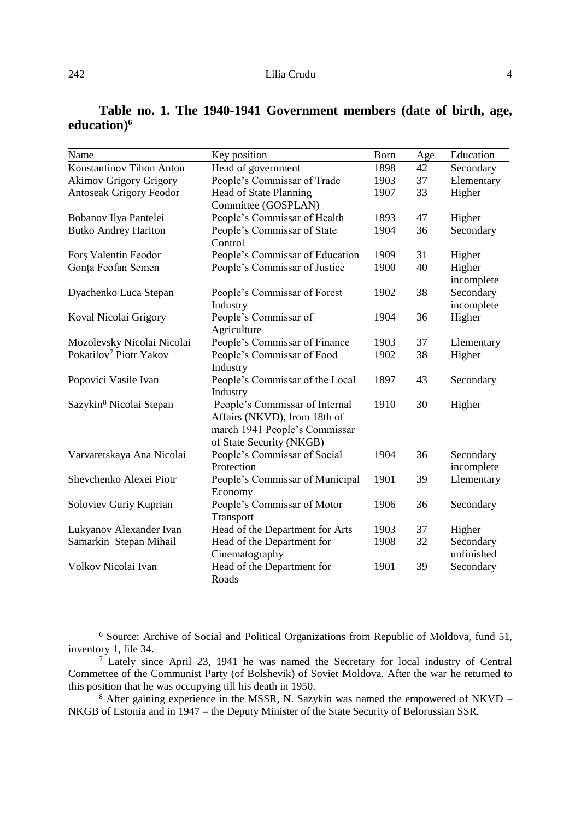| Name                                | Key position                    | Born | Age | Education  |
|-------------------------------------|---------------------------------|------|-----|------------|
| Konstantinov Tihon Anton            | Head of government              | 1898 | 42  | Secondary  |
| <b>Akimov Grigory Grigory</b>       | People's Commissar of Trade     | 1903 | 37  | Elementary |
| Antoseak Grigory Feodor             | Head of State Planning          | 1907 | 33  | Higher     |
|                                     | Committee (GOSPLAN)             |      |     |            |
| Bobanov Ilya Pantelei               | People's Commissar of Health    | 1893 | 47  | Higher     |
| <b>Butko Andrey Hariton</b>         | People's Commissar of State     | 1904 | 36  | Secondary  |
|                                     | Control                         |      |     |            |
| Fors Valentin Feodor                | People's Commissar of Education | 1909 | 31  | Higher     |
| Gonta Feofan Semen                  | People's Commissar of Justice   | 1900 | 40  | Higher     |
|                                     |                                 |      |     | incomplete |
| Dyachenko Luca Stepan               | People's Commissar of Forest    | 1902 | 38  | Secondary  |
|                                     | Industry                        |      |     | incomplete |
| Koval Nicolai Grigory               | People's Commissar of           | 1904 | 36  | Higher     |
|                                     | Agriculture                     |      |     |            |
| Mozolevsky Nicolai Nicolai          | People's Commissar of Finance   | 1903 | 37  | Elementary |
| Pokatilov <sup>7</sup> Piotr Yakov  | People's Commissar of Food      | 1902 | 38  | Higher     |
|                                     | Industry                        |      |     |            |
| Popovici Vasile Ivan                | People's Commissar of the Local | 1897 | 43  | Secondary  |
|                                     | Industry                        |      |     |            |
| Sazykin <sup>8</sup> Nicolai Stepan | People's Commissar of Internal  | 1910 | 30  | Higher     |
|                                     | Affairs (NKVD), from 18th of    |      |     |            |
|                                     | march 1941 People's Commissar   |      |     |            |
|                                     | of State Security (NKGB)        |      |     |            |
| Varvaretskaya Ana Nicolai           | People's Commissar of Social    | 1904 | 36  | Secondary  |
|                                     | Protection                      |      |     | incomplete |
| Shevchenko Alexei Piotr             | People's Commissar of Municipal | 1901 | 39  | Elementary |
|                                     | Economy                         |      |     |            |
| Soloviev Guriy Kuprian              | People's Commissar of Motor     | 1906 | 36  | Secondary  |
|                                     | Transport                       |      |     |            |
| Lukyanov Alexander Ivan             | Head of the Department for Arts | 1903 | 37  | Higher     |
| Samarkin Stepan Mihail              | Head of the Department for      | 1908 | 32  | Secondary  |
|                                     | Cinematography                  |      |     | unfinished |
| Volkov Nicolai Ivan                 | Head of the Department for      | 1901 | 39  | Secondary  |
|                                     | Roads                           |      |     |            |

## **Table no. 1. The 1940-1941 Government members (date of birth, age, education)<sup>6</sup>**

<sup>&</sup>lt;sup>6</sup> Source: Archive of Social and Political Organizations from Republic of Moldova, fund 51, inventory 1, file 34.

<sup>&</sup>lt;sup>7</sup> Lately since April 23, 1941 he was named the Secretary for local industry of Central Commettee of the Communist Party (of Bolshevik) of Soviet Moldova. After the war he returned to this position that he was occupying till his death in 1950.

<sup>&</sup>lt;sup>8</sup> After gaining experience in the MSSR, N. Sazykin was named the empowered of NKVD – NKGB of Estonia and in 1947 – the Deputy Minister of the State Security of Belorussian SSR.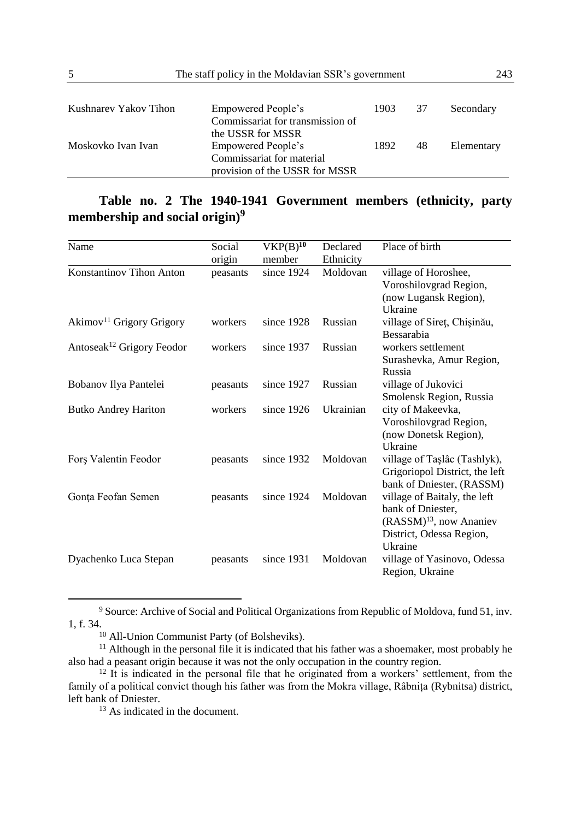| The staff policy in the Moldavian SSR's government<br>5 | 243                              |      |    |            |
|---------------------------------------------------------|----------------------------------|------|----|------------|
| Kushnarev Yakov Tihon                                   | Empowered People's               | 1903 | 37 | Secondary  |
|                                                         | Commissariat for transmission of |      |    |            |
|                                                         | the USSR for MSSR                |      |    |            |
| Moskovko Ivan Ivan                                      | Empowered People's               | 1892 | 48 | Elementary |
|                                                         | Commissariat for material        |      |    |            |
|                                                         | provision of the USSR for MSSR   |      |    |            |

# **Table no. 2 The 1940-1941 Government members (ethnicity, party membership and social origin)<sup>9</sup>**

| Name                                  | Social   | VKP(B) <sup>10</sup> | Declared  | Place of birth                                                                                                                  |
|---------------------------------------|----------|----------------------|-----------|---------------------------------------------------------------------------------------------------------------------------------|
|                                       | origin   | member               | Ethnicity |                                                                                                                                 |
| Konstantinov Tihon Anton              | peasants | since 1924           | Moldovan  | village of Horoshee,<br>Voroshilovgrad Region,<br>(now Lugansk Region),<br>Ukraine                                              |
| Akimov <sup>11</sup> Grigory Grigory  | workers  | since 1928           | Russian   | village of Siret, Chişinău,<br>Bessarabia                                                                                       |
| Antoseak <sup>12</sup> Grigory Feodor | workers  | since 1937           | Russian   | workers settlement<br>Surashevka, Amur Region,<br>Russia                                                                        |
| Bobanov Ilya Pantelei                 | peasants | since 1927           | Russian   | village of Jukovici<br>Smolensk Region, Russia                                                                                  |
| <b>Butko Andrey Hariton</b>           | workers  | since $1926$         | Ukrainian | city of Makeevka,<br>Voroshilovgrad Region,<br>(now Donetsk Region),<br>Ukraine                                                 |
| Fors Valentin Feodor                  | peasants | since 1932           | Moldovan  | village of Taslâc (Tashlyk),<br>Grigoriopol District, the left<br>bank of Dniester, (RASSM)                                     |
| Gonța Feofan Semen                    | peasants | since 1924           | Moldovan  | village of Baitaly, the left<br>bank of Dniester,<br>(RASSM) <sup>13</sup> , now Ananiev<br>District, Odessa Region,<br>Ukraine |
| Dyachenko Luca Stepan                 | peasants | since 1931           | Moldovan  | village of Yasinovo, Odessa<br>Region, Ukraine                                                                                  |

<sup>9</sup> Source: Archive of Social and Political Organizations from Republic of Moldova, fund 51, inv. 1, f. 34.

<sup>10</sup> All-Union Communist Party (of Bolsheviks).

<sup>&</sup>lt;sup>11</sup> Although in the personal file it is indicated that his father was a shoemaker, most probably he also had a peasant origin because it was not the only occupation in the country region.

 $12$  It is indicated in the personal file that he originated from a workers' settlement, from the family of a political convict though his father was from the Mokra village, Râbnița (Rybnitsa) district, left bank of Dniester.

<sup>&</sup>lt;sup>13</sup> As indicated in the document.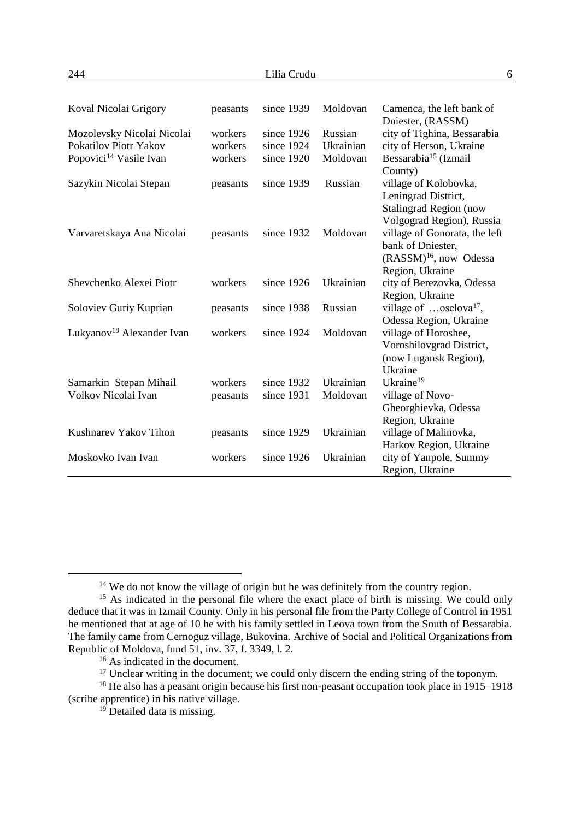| Koval Nicolai Grigory                 | peasants | since 1939   | Moldovan  | Camenca, the left bank of<br>Dniester, (RASSM) |
|---------------------------------------|----------|--------------|-----------|------------------------------------------------|
| Mozolevsky Nicolai Nicolai            | workers  | since $1926$ | Russian   | city of Tighina, Bessarabia                    |
| Pokatilov Piotr Yakov                 | workers  | since 1924   | Ukrainian | city of Herson, Ukraine                        |
| Popovici <sup>14</sup> Vasile Ivan    | workers  | since 1920   | Moldovan  | Bessarabia <sup>15</sup> (Izmail               |
|                                       |          |              |           | County)                                        |
| Sazykin Nicolai Stepan                | peasants | since 1939   | Russian   | village of Kolobovka,                          |
|                                       |          |              |           | Leningrad District,                            |
|                                       |          |              |           | Stalingrad Region (now                         |
|                                       |          |              |           | Volgograd Region), Russia                      |
| Varvaretskaya Ana Nicolai             | peasants | since 1932   | Moldovan  | village of Gonorata, the left                  |
|                                       |          |              |           | bank of Dniester,                              |
|                                       |          |              |           | $(RASSM)16$ , now Odessa                       |
|                                       |          |              |           | Region, Ukraine                                |
| Shevchenko Alexei Piotr               | workers  | since $1926$ | Ukrainian | city of Berezovka, Odessa                      |
|                                       |          |              |           | Region, Ukraine                                |
| Soloviev Guriy Kuprian                | peasants | since 1938   | Russian   | village of $$ oselova <sup>17</sup> ,          |
|                                       |          |              |           | Odessa Region, Ukraine                         |
| Lukyanov <sup>18</sup> Alexander Ivan | workers  | since 1924   | Moldovan  | village of Horoshee,                           |
|                                       |          |              |           | Voroshilovgrad District,                       |
|                                       |          |              |           | (now Lugansk Region),                          |
|                                       |          |              |           | Ukraine                                        |
| Samarkin Stepan Mihail                | workers  | since 1932   | Ukrainian | Ukraine <sup>19</sup>                          |
| Volkov Nicolai Ivan                   | peasants | since $1931$ | Moldovan  | village of Novo-                               |
|                                       |          |              |           | Gheorghievka, Odessa                           |
|                                       |          |              |           | Region, Ukraine                                |
| Kushnarev Yakov Tihon                 | peasants | since 1929   | Ukrainian | village of Malinovka,                          |
|                                       |          |              |           | Harkov Region, Ukraine                         |
| Moskovko Ivan Ivan                    | workers  | since $1926$ | Ukrainian | city of Yanpole, Summy                         |
|                                       |          |              |           | Region, Ukraine                                |

<sup>&</sup>lt;sup>14</sup> We do not know the village of origin but he was definitely from the country region.

<sup>&</sup>lt;sup>15</sup> As indicated in the personal file where the exact place of birth is missing. We could only deduce that it was in Izmail County. Only in his personal file from the Party College of Control in 1951 he mentioned that at age of 10 he with his family settled in Leova town from the South of Bessarabia. The family came from Cernoguz village, Bukovina. Archive of Social and Political Organizations from Republic of Moldova, fund 51, inv. 37, f. 3349, l. 2.

<sup>16</sup> As indicated in the document.

<sup>&</sup>lt;sup>17</sup> Unclear writing in the document; we could only discern the ending string of the toponym.

<sup>&</sup>lt;sup>18</sup> He also has a peasant origin because his first non-peasant occupation took place in 1915–1918 (scribe apprentice) in his native village.

 $19$  Detailed data is missing.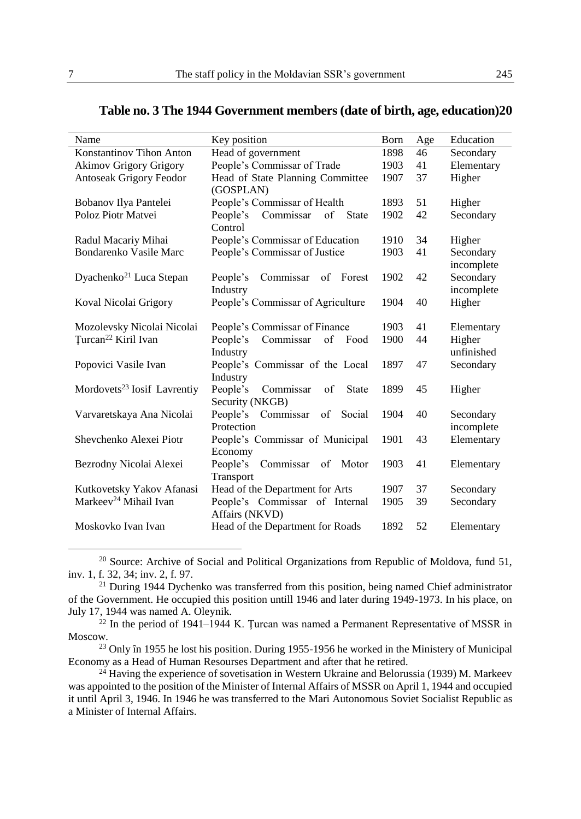| Name                                    | Key position                                                   | Born | Age | Education               |
|-----------------------------------------|----------------------------------------------------------------|------|-----|-------------------------|
| Konstantinov Tihon Anton                | Head of government                                             | 1898 | 46  | Secondary               |
| <b>Akimov Grigory Grigory</b>           | People's Commissar of Trade                                    | 1903 | 41  | Elementary              |
| Antoseak Grigory Feodor                 | Head of State Planning Committee<br>(GOSPLAN)                  | 1907 | 37  | Higher                  |
| Bobanov Ilya Pantelei                   | People's Commissar of Health                                   | 1893 | 51  | Higher                  |
| Poloz Piotr Matvei                      | Commissar<br>People's<br><b>State</b><br>of<br>Control         | 1902 | 42  | Secondary               |
| Radul Macariy Mihai                     | People's Commissar of Education                                | 1910 | 34  | Higher                  |
| Bondarenko Vasile Marc                  | People's Commissar of Justice                                  | 1903 | 41  | Secondary<br>incomplete |
| Dyachenko <sup>21</sup> Luca Stepan     | Commissar<br>People's<br>of Forest<br>Industry                 | 1902 | 42  | Secondary<br>incomplete |
| Koval Nicolai Grigory                   | People's Commissar of Agriculture                              | 1904 | 40  | Higher                  |
| Mozolevsky Nicolai Nicolai              | People's Commissar of Finance                                  | 1903 | 41  | Elementary              |
| Turcan <sup>22</sup> Kiril Ivan         | Commissar<br>of<br>People's<br>Food<br>Industry                | 1900 | 44  | Higher<br>unfinished    |
| Popovici Vasile Ivan                    | People's Commissar of the Local<br>Industry                    | 1897 | 47  | Secondary               |
| Mordovets <sup>23</sup> Iosif Lavrentiy | People's<br>Commissar<br>of<br><b>State</b><br>Security (NKGB) | 1899 | 45  | Higher                  |
| Varvaretskaya Ana Nicolai               | People's Commissar<br>Social<br>of<br>Protection               | 1904 | 40  | Secondary<br>incomplete |
| Shevchenko Alexei Piotr                 | People's Commissar of Municipal<br>Economy                     | 1901 | 43  | Elementary              |
| Bezrodny Nicolai Alexei                 | Commissar<br>People's<br>Motor<br>of<br>Transport              | 1903 | 41  | Elementary              |
| Kutkovetsky Yakov Afanasi               | Head of the Department for Arts                                | 1907 | 37  | Secondary               |
| Markeev <sup>24</sup> Mihail Ivan       | People's Commissar of Internal                                 | 1905 | 39  | Secondary               |

#### **Table no. 3 The 1944 Government members (date of birth, age, education)20**

<sup>20</sup> Source: Archive of Social and Political Organizations from Republic of Moldova, fund 51, inv. 1, f. 32, 34; inv. 2, f. 97.

Moskovko Ivan Ivan Ivan Head of the Department for Roads 1892 52 Elementary

Affairs (NKVD)

<sup>21</sup> During 1944 Dychenko was transferred from this position, being named Chief administrator of the Government. He occupied this position untill 1946 and later during 1949-1973. In his place, on July 17, 1944 was named A. Oleynik.

 $22$  In the period of 1941–1944 K. Turcan was named a Permanent Representative of MSSR in Moscow.

<sup>23</sup> Only în 1955 he lost his position. During 1955-1956 he worked in the Ministery of Municipal Economy as a Head of Human Resourses Department and after that he retired.

 $24$  Having the experience of sovetisation in Western Ukraine and Belorussia (1939) M. Markeev was appointed to the position of the Minister of Internal Affairs of MSSR on April 1, 1944 and occupied it until April 3, 1946. In 1946 he was transferred to the [Mari Autonomous Soviet Socialist Republic a](http://www.multitran.ru/c/m.exe?t=3398668_1_2&s1=%CC%E0%F0%E8%E9%F1%EA%E0%FF%20%C0%E2%F2%EE%ED%EE%EC%ED%E0%FF%20%D1%EE%E2%E5%F2%F1%EA%E0%FF%20%D1%EE%F6%E8%E0%EB%E8%F1%F2%E8%F7%E5%F1%EA%E0%FF%20%D0%E5%F1%EF%F3%E1%EB%E8%EA%E0)s a Minister of Internal Affairs.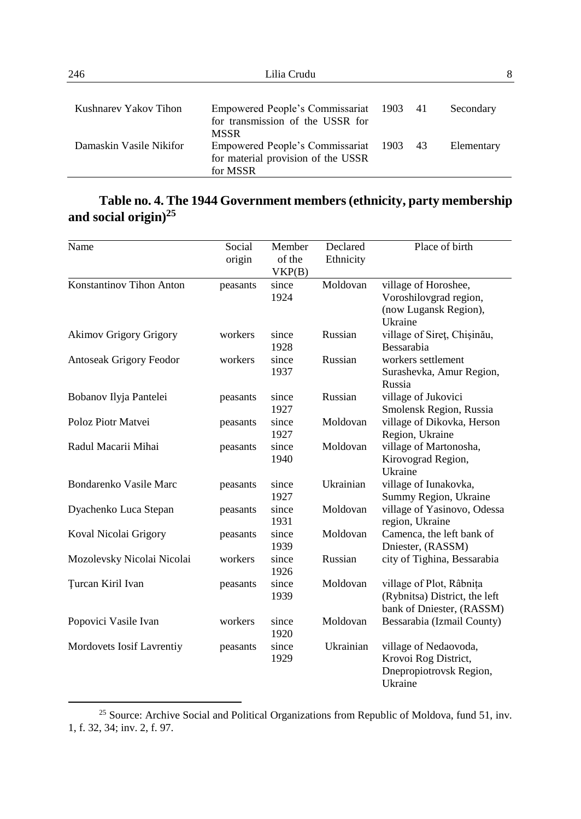| 246                     | Lilia Crudu                                                                                | 8 |            |
|-------------------------|--------------------------------------------------------------------------------------------|---|------------|
| Kushnarev Yakov Tihon   | Empowered People's Commissariat 1903 41                                                    |   | Secondary  |
| Damaskin Vasile Nikifor | for transmission of the USSR for<br><b>MSSR</b><br>Empowered People's Commissariat 1903 43 |   | Elementary |
|                         | for material provision of the USSR<br>for MSSR                                             |   |            |

# **Table no. 4. The 1944 Government members (ethnicity, party membership and social origin)<sup>25</sup>**

| Name                          | Social<br>origin | Member<br>of the<br>VKP(B) | Declared<br>Ethnicity | Place of birth                                                                         |
|-------------------------------|------------------|----------------------------|-----------------------|----------------------------------------------------------------------------------------|
| Konstantinov Tihon Anton      | peasants         | since<br>1924              | Moldovan              | village of Horoshee,<br>Voroshilovgrad region,<br>(now Lugansk Region),<br>Ukraine     |
| <b>Akimov Grigory Grigory</b> | workers          | since<br>1928              | Russian               | village of Siret, Chisinău,<br>Bessarabia                                              |
| Antoseak Grigory Feodor       | workers          | since<br>1937              | Russian               | workers settlement<br>Surashevka, Amur Region,<br>Russia                               |
| Bobanov Ilyja Pantelei        | peasants         | since<br>1927              | Russian               | village of Jukovici<br>Smolensk Region, Russia                                         |
| Poloz Piotr Matvei            | peasants         | since<br>1927              | Moldovan              | village of Dikovka, Herson<br>Region, Ukraine                                          |
| Radul Macarii Mihai           | peasants         | since<br>1940              | Moldovan              | village of Martonosha,<br>Kirovograd Region,<br>Ukraine                                |
| Bondarenko Vasile Marc        | peasants         | since<br>1927              | Ukrainian             | village of Iunakovka,<br>Summy Region, Ukraine                                         |
| Dyachenko Luca Stepan         | peasants         | since<br>1931              | Moldovan              | village of Yasinovo, Odessa<br>region, Ukraine                                         |
| Koval Nicolai Grigory         | peasants         | since<br>1939              | Moldovan              | Camenca, the left bank of<br>Dniester, (RASSM)                                         |
| Mozolevsky Nicolai Nicolai    | workers          | since<br>1926              | Russian               | city of Tighina, Bessarabia                                                            |
| Turcan Kiril Ivan             | peasants         | since<br>1939              | Moldovan              | village of Plot, Râbnița<br>(Rybnitsa) District, the left<br>bank of Dniester, (RASSM) |
| Popovici Vasile Ivan          | workers          | since<br>1920              | Moldovan              | Bessarabia (Izmail County)                                                             |
| Mordovets Iosif Lavrentiy     | peasants         | since<br>1929              | Ukrainian             | village of Nedaovoda,<br>Krovoi Rog District,<br>Dnepropiotrovsk Region,<br>Ukraine    |

<sup>25</sup> Source: Archive Social and Political Organizations from Republic of Moldova, fund 51, inv. 1, f. 32, 34; inv. 2, f. 97.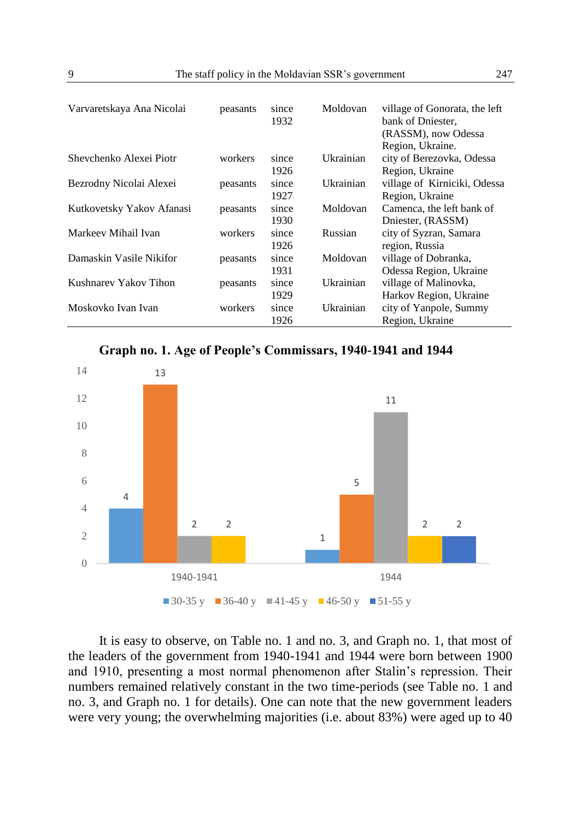| Varvaretskaya Ana Nicolai | peasants | since<br>1932 | Moldovan  | village of Gonorata, the left<br>bank of Dniester.<br>(RASSM), now Odessa<br>Region, Ukraine. |
|---------------------------|----------|---------------|-----------|-----------------------------------------------------------------------------------------------|
| Shevchenko Alexei Piotr   | workers  | since<br>1926 | Ukrainian | city of Berezovka, Odessa<br>Region, Ukraine                                                  |
| Bezrodny Nicolai Alexei   | peasants | since<br>1927 | Ukrainian | village of Kirniciki, Odessa<br>Region, Ukraine                                               |
| Kutkovetsky Yakov Afanasi | peasants | since<br>1930 | Moldovan  | Camenca, the left bank of<br>Dniester, (RASSM)                                                |
| Markeev Mihail Ivan       | workers  | since<br>1926 | Russian   | city of Syzran, Samara<br>region, Russia                                                      |
| Damaskin Vasile Nikifor   | peasants | since<br>1931 | Moldovan  | village of Dobranka,<br>Odessa Region, Ukraine                                                |
| Kushnarev Yakov Tihon     | peasants | since<br>1929 | Ukrainian | village of Malinovka,<br>Harkov Region, Ukraine                                               |
| Moskovko Ivan Ivan        | workers  | since<br>1926 | Ukrainian | city of Yanpole, Summy<br>Region, Ukraine                                                     |

**Graph no. 1. Age of People's Commissars, 1940-1941 and 1944**



It is easy to observe, on Table no. 1 and no. 3, and Graph no. 1, that most of the leaders of the government from 1940-1941 and 1944 were born between 1900 and 1910, presenting a most normal phenomenon after Stalin's repression. Their numbers remained relatively constant in the two time-periods (see Table no. 1 and no. 3, and Graph no. 1 for details). One can note that the new government leaders were very young; the overwhelming majorities (i.e. about 83%) were aged up to 40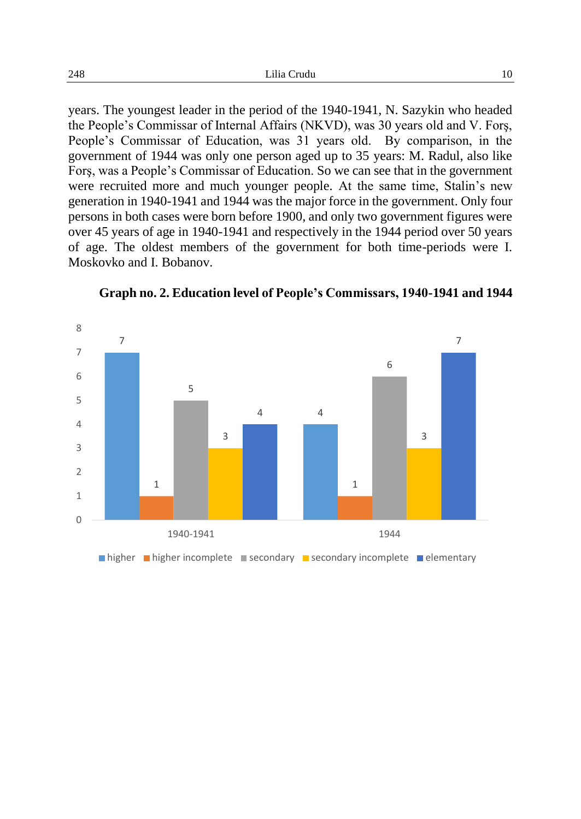years. The youngest leader in the period of the 1940-1941, N. Sazykin who headed the People's Commissar of Internal Affairs (NKVD), was 30 years old and V. Forş, People's Commissar of Education, was 31 years old. By comparison, in the government of 1944 was only one person aged up to 35 years: M. Radul, also like Forş, was a People's Commissar of Education. So we can see that in the government were recruited more and much younger people. At the same time, Stalin's new generation in 1940-1941 and 1944 was the major force in the government. Only four persons in both cases were born before 1900, and only two government figures were over 45 years of age in 1940-1941 and respectively in the 1944 period over 50 years of age. The oldest members of the government for both time-periods were I. Moskovko and I. Bobanov.



**Graph no. 2. Education level of People's Commissars, 1940-1941 and 1944**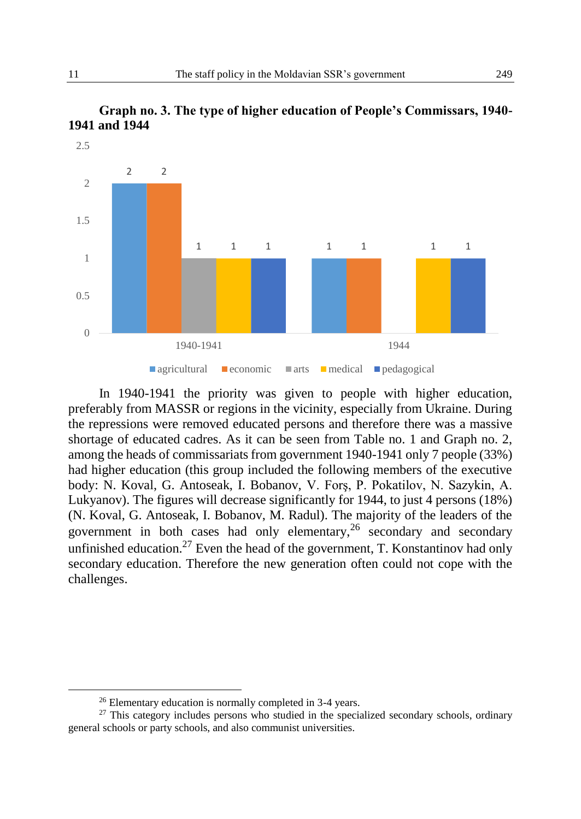



In 1940-1941 the priority was given to people with higher education, preferably from MASSR or regions in the vicinity, especially from Ukraine. During the repressions were removed educated persons and therefore there was a massive shortage of educated cadres. As it can be seen from Table no. 1 and Graph no. 2, among the heads of commissariats from government 1940-1941 only 7 people (33%) had higher education (this group included the following members of the executive body: N. Koval, G. Antoseak, I. Bobanov, V. Forş, P. Pokatilov, N. Sazykin, A. Lukyanov). The figures will decrease significantly for 1944, to just 4 persons (18%) (N. Koval, G. Antoseak, I. Bobanov, M. Radul). The majority of the leaders of the government in both cases had only elementary,  $26$  secondary and secondary unfinished education.<sup>27</sup> Even the head of the government, T. Konstantinov had only secondary education. Therefore the new generation often could not cope with the challenges.

<sup>26</sup> Elementary education is normally completed in 3-4 years.

<sup>&</sup>lt;sup>27</sup> This category includes persons who studied in the specialized secondary schools, ordinary general schools or party schools, and also communist universities.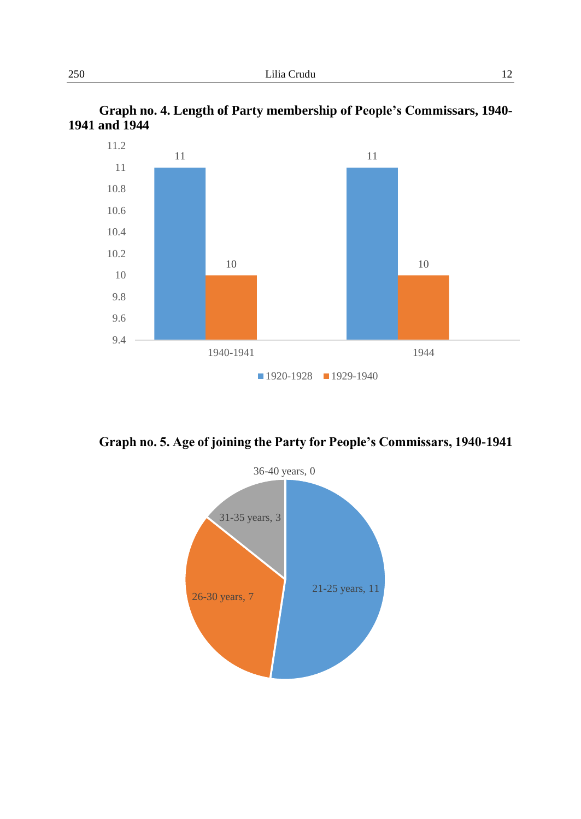



**Graph no. 5. Age of joining the Party for People's Commissars, 1940-1941**

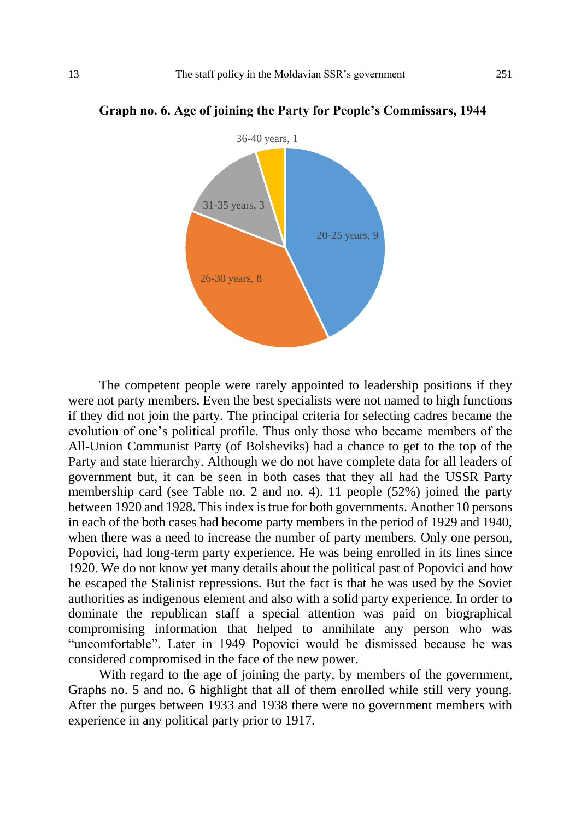

#### **Graph no. 6. Age of joining the Party for People's Commissars, 1944**

The competent people were rarely appointed to leadership positions if they were not party members. Even the best specialists were not named to high functions if they did not join the party. The principal criteria for selecting cadres became the evolution of one's political profile. Thus only those who became members of the All-Union Communist Party (of Bolsheviks) had a chance to get to the top of the Party and state hierarchy. Although we do not have complete data for all leaders of government but, it can be seen in both cases that they all had the USSR Party membership card (see Table no. 2 and no. 4). 11 people (52%) joined the party between 1920 and 1928. This index is true for both governments. Another 10 persons in each of the both cases had become party members in the period of 1929 and 1940, when there was a need to increase the number of party members. Only one person, Popovici, had long-term party experience. He was being enrolled in its lines since 1920. We do not know yet many details about the political past of Popovici and how he escaped the Stalinist repressions. But the fact is that he was used by the Soviet authorities as indigenous element and also with a solid party experience. In order to dominate the republican staff a special attention was paid on biographical compromising information that helped to annihilate any person who was "uncomfortable". Later in 1949 Popovici would be dismissed because he was considered compromised in the face of the new power.

With regard to the age of joining the party, by members of the government, Graphs no. 5 and no. 6 highlight that all of them enrolled while still very young. After the purges between 1933 and 1938 there were no government members with experience in any political party prior to 1917.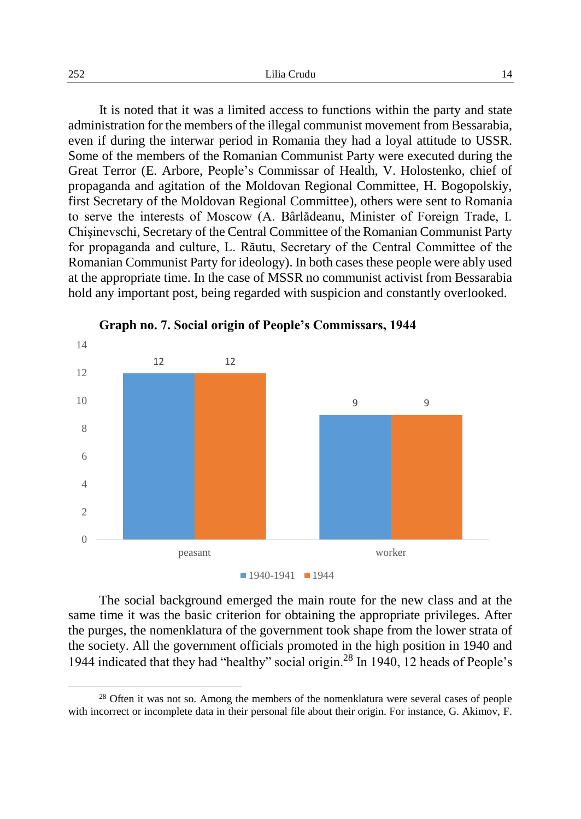It is noted that it was a limited access to functions within the party and state administration for the members of the illegal communist movement from Bessarabia, even if during the interwar period in Romania they had a loyal attitude to USSR. Some of the members of the Romanian Communist Party were executed during the Great Terror (E. Arbore, People's Commissar of Health, V. Holostenko, chief of propaganda and agitation of the Moldovan Regional Committee, H. Bogopolskiy, first Secretary of the Moldovan Regional Committee), others were sent to Romania to serve the interests of Moscow (A. Bârlădeanu, Minister of Foreign Trade, I. Chişinevschi, Secretary of the Central Committee of the Romanian Communist Party for propaganda and culture, L. Răutu, Secretary of the Central Committee of the Romanian Communist Party for ideology). In both cases these people were ably used at the appropriate time. In the case of MSSR no communist activist from Bessarabia hold any important post, being regarded with suspicion and constantly overlooked.







The social background emerged the main route for the new class and at the same time it was the basic criterion for obtaining the appropriate privileges. After the purges, the nomenklatura of the government took shape from the lower strata of the society. All the government officials promoted in the high position in 1940 and 1944 indicated that they had "healthy" social origin.<sup>28</sup> In 1940, 12 heads of People's

<sup>&</sup>lt;sup>28</sup> Often it was not so. Among the members of the nomenklatura were several cases of people with incorrect or incomplete data in their personal file about their origin. For instance, G. Akimov, F.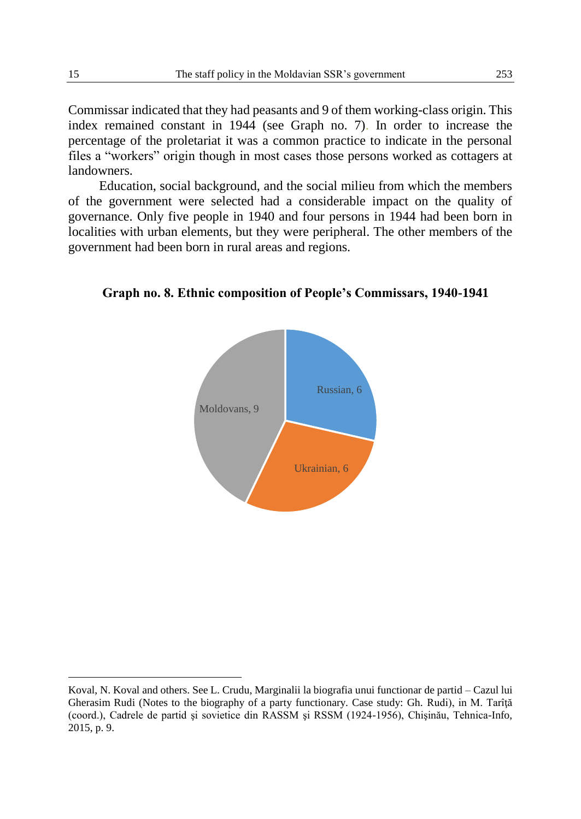Commissar indicated that they had peasants and 9 of them working-class origin. This index remained constant in 1944 (see Graph no. 7). In order to increase the percentage of the proletariat it was a common practice to indicate in the personal files a "workers" origin though in most cases those persons worked as cottagers at landowners.

Education, social background, and the social milieu from which the members of the government were selected had a considerable impact on the quality of governance. Only five people in 1940 and four persons in 1944 had been born in localities with urban elements, but they were peripheral. The other members of the government had been born in rural areas and regions.

**Graph no. 8. Ethnic composition of People's Commissars, 1940-1941**



Koval, N. Koval and others. See L. Crudu, Marginalii la biografia unui functionar de partid – Cazul lui Gherasim Rudi (Notes to the biography of a party functionary. Case study: Gh. Rudi), in M. Tarîță (coord.), Cadrele de partid şi sovietice din RASSM şi RSSM (1924-1956), Chişinău, Tehnica-Info, 2015, p. 9.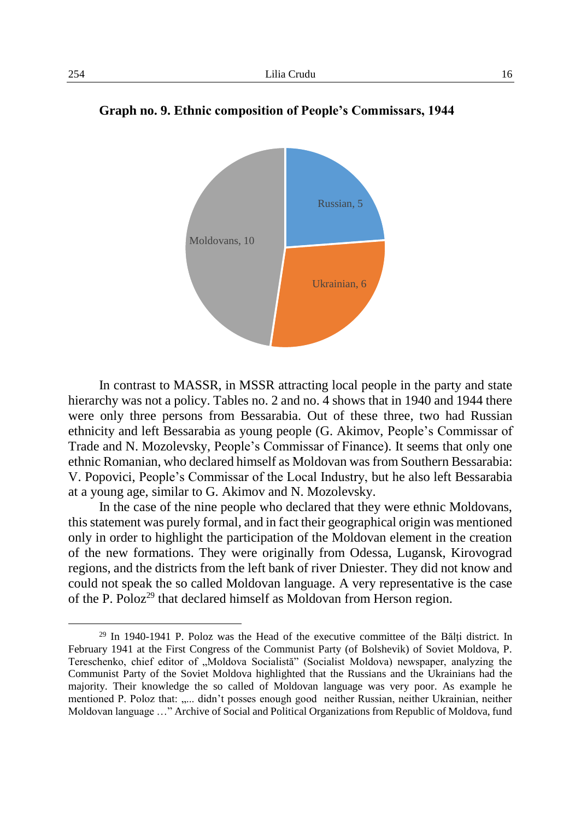

**Graph no. 9. Ethnic composition of People's Commissars, 1944**

In contrast to MASSR, in MSSR attracting local people in the party and state hierarchy was not a policy. Tables no. 2 and no. 4 shows that in 1940 and 1944 there were only three persons from Bessarabia. Out of these three, two had Russian ethnicity and left Bessarabia as young people (G. Akimov, People's Commissar of Trade and N. Mozolevsky, People's Commissar of Finance). It seems that only one ethnic Romanian, who declared himself as Moldovan was from Southern Bessarabia: V. Popovici, People's Commissar of the Local Industry, but he also left Bessarabia at a young age, similar to G. Akimov and N. Mozolevsky.

In the case of the nine people who declared that they were ethnic Moldovans, this statement was purely formal, and in fact their geographical origin was mentioned only in order to highlight the participation of the Moldovan element in the creation of the new formations. They were originally from Odessa, Lugansk, Kirovograd regions, and the districts from the left bank of river Dniester. They did not know and could not speak the so called Moldovan language. A very representative is the case of the P. Poloz<sup>29</sup> that declared himself as Moldovan from Herson region.

<sup>29</sup> In 1940-1941 P. Poloz was the Head of the executive committee of the Bălți district. In February 1941 at the First Congress of the Communist Party (of Bolshevik) of Soviet Moldova, P. Tereschenko, chief editor of "Moldova Socialistă" (Socialist Moldova) newspaper, analyzing the Communist Party of the Soviet Moldova highlighted that the Russians and the Ukrainians had the majority. Their knowledge the so called of Moldovan language was very poor. As example he mentioned P. Poloz that: ..... didn't posses enough good neither Russian, neither Ukrainian, neither Moldovan language …" Archive of Social and Political Organizations from Republic of Moldova, fund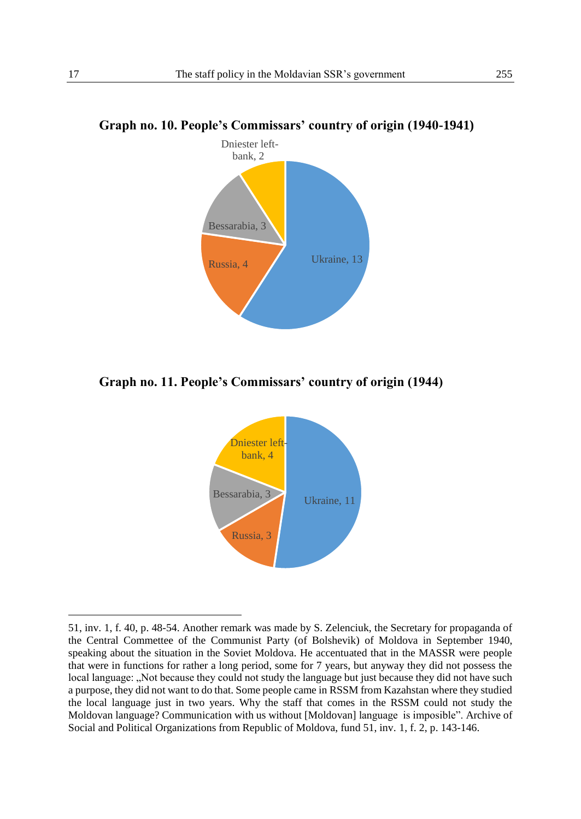

#### **Graph no. 10. People's Commissars' country of origin (1940-1941)**

**Graph no. 11. People's Commissars' country of origin (1944)**



<sup>51,</sup> inv. 1, f. 40, p. 48-54. Another remark was made by S. Zelenciuk, the Secretary for propaganda of the Central Commettee of the Communist Party (of Bolshevik) of Moldova in September 1940, speaking about the situation in the Soviet Moldova. He accentuated that in the MASSR were people that were in functions for rather a long period, some for 7 years, but anyway they did not possess the local language: "Not because they could not study the language but just because they did not have such a purpose, they did not want to do that. Some people came in RSSM from Kazahstan where they studied the local language just in two years. Why the staff that comes in the RSSM could not study the Moldovan language? Communication with us without [Moldovan] language is imposible". Archive of Social and Political Organizations from Republic of Moldova, fund 51, inv. 1, f. 2, p. 143-146.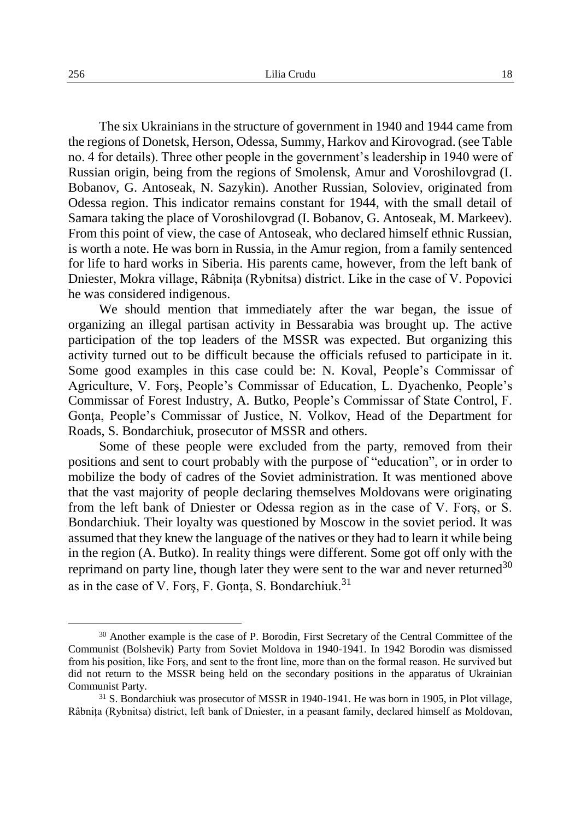The six Ukrainians in the structure of government in 1940 and 1944 came from the regions of Donetsk, Herson, Odessa, Summy, Harkov and Kirovograd. (see Table no. 4 for details). Three other people in the government's leadership in 1940 were of Russian origin, being from the regions of Smolensk, Amur and Voroshilovgrad (I. Bobanov, G. Antoseak, N. Sazykin). Another Russian, Soloviev, originated from Odessa region. This indicator remains constant for 1944, with the small detail of Samara taking the place of Voroshilovgrad (I. Bobanov, G. Antoseak, M. Markeev). From this point of view, the case of Antoseak, who declared himself ethnic Russian, is worth a note. He was born in Russia, in the Amur region, from a family sentenced for life to hard works in Siberia. His parents came, however, from the left bank of Dniester, Mokra village, Râbnița (Rybnitsa) district. Like in the case of V. Popovici he was considered indigenous.

We should mention that immediately after the war began, the issue of organizing an illegal partisan activity in Bessarabia was brought up. The active participation of the top leaders of the MSSR was expected. But organizing this activity turned out to be difficult because the officials refused to participate in it. Some good examples in this case could be: N. Koval, People's Commissar of Agriculture, V. Forş, People's Commissar of Education, L. Dyachenko, People's Commissar of Forest Industry, A. Butko, People's Commissar of State Control, F. Gonta, People's Commissar of Justice, N. Volkov, Head of the Department for Roads, S. Bondarchiuk, prosecutor of MSSR and others.

Some of these people were excluded from the party, removed from their positions and sent to court probably with the purpose of "education", or in order to mobilize the body of cadres of the Soviet administration. It was mentioned above that the vast majority of people declaring themselves Moldovans were originating from the left bank of Dniester or Odessa region as in the case of V. Forş, or S. Bondarchiuk. Their loyalty was questioned by Moscow in the soviet period. It was assumed that they knew the language of the natives or they had to learn it while being in the region (A. Butko). In reality things were different. Some got off only with the reprimand on party line, though later they were sent to the war and never returned  $30$ as in the case of V. Fors, F. Gonta, S. Bondarchiuk.<sup>31</sup>

<sup>&</sup>lt;sup>30</sup> Another example is the case of P. Borodin, First Secretary of the Central Committee of the Communist (Bolshevik) Party from Soviet Moldova in 1940-1941. In 1942 Borodin was dismissed from his position, like Forş, and sent to the front line, more than on the formal reason. He survived but did not return to the MSSR being held on the secondary positions in the apparatus of Ukrainian Communist Party.

<sup>31</sup> S. Bondarchiuk was prosecutor of MSSR in 1940-1941. He was born in 1905, in Plot village, Râbnița (Rybnitsa) district, left bank of Dniester, in a peasant family, declared himself as Moldovan,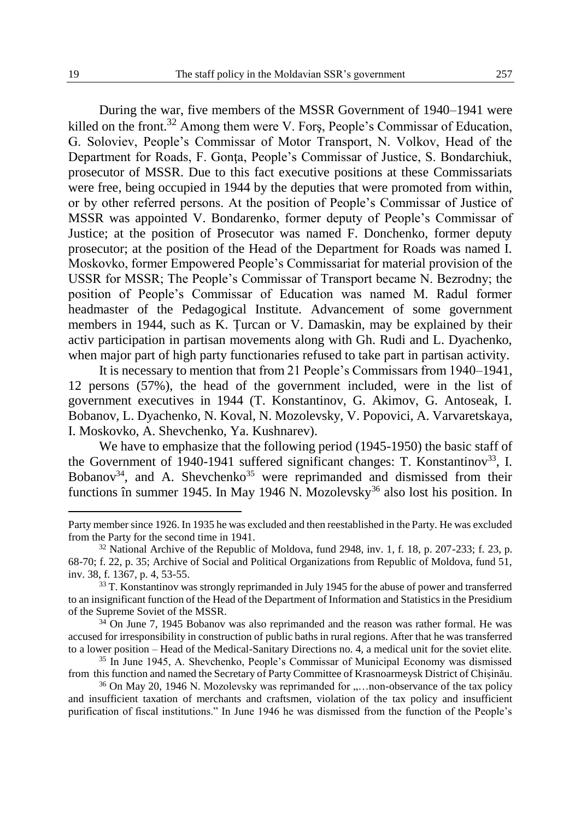During the war, five members of the MSSR Government of 1940–1941 were killed on the front.<sup>32</sup> Among them were V. Fors, People's Commissar of Education, G. Soloviev, People's Commissar of Motor Transport, N. Volkov, Head of the Department for Roads, F. Gonta, People's Commissar of Justice, S. Bondarchiuk, prosecutor of MSSR. Due to this fact executive positions at these Commissariats were free, being occupied in 1944 by the deputies that were promoted from within, or by other referred persons. At the position of People's Commissar of Justice of MSSR was appointed V. Bondarenko, former deputy of People's Commissar of Justice; at the position of Prosecutor was named F. Donchenko, former deputy prosecutor; at the position of the Head of the Department for Roads was named I. Moskovko, former Empowered People's Commissariat for material provision of the USSR for MSSR; The People's Commissar of Transport became N. Bezrodny; the position of People's Commissar of Education was named M. Radul former headmaster of the Pedagogical Institute. Advancement of some government members in 1944, such as K. Țurcan or V. Damaskin, may be explained by their activ participation in partisan movements along with Gh. Rudi and L. Dyachenko, when major part of high party functionaries refused to take part in partisan activity.

It is necessary to mention that from 21 People's Commissars from 1940–1941, 12 persons (57%), the head of the government included, were in the list of government executives in 1944 (T. Konstantinov, G. Akimov, G. Antoseak, I. Bobanov, L. Dyachenko, N. Koval, N. Mozolevsky, V. Popovici, A. Varvaretskaya, I. Moskovko, A. Shevchenko, Ya. Kushnarev).

We have to emphasize that the following period (1945-1950) the basic staff of the Government of 1940-1941 suffered significant changes: T. Konstantinov<sup>33</sup>, I. Bobanov<sup>34</sup>, and A. Shevchenko<sup>35</sup> were reprimanded and dismissed from their functions în summer 1945. In May 1946 N. Mozolevsky<sup>36</sup> also lost his position. In

Party member since 1926. In 1935 he was excluded and then reestablished in the Party. He was excluded from the Party for the second time in 1941.

 $32$  National Archive of the Republic of Moldova, fund 2948, inv. 1, f. 18, p. 207-233; f. 23, p. 68-70; f. 22, p. 35; Archive of Social and Political Organizations from Republic of Moldova, fund 51, inv. 38, f. 1367, p. 4, 53-55.

<sup>&</sup>lt;sup>33</sup> T. Konstantinov was strongly reprimanded in July 1945 for the abuse of power and transferred to an insignificant function of the Head of the Department of Information and Statistics in the Presidium of the Supreme Soviet of the MSSR.

<sup>&</sup>lt;sup>34</sup> On June 7, 1945 Bobanov was also reprimanded and the reason was rather formal. He was accused for irresponsibility in construction of public baths in rural regions. After that he was transferred to a lower position – Head of the Medical-Sanitary Directions no. 4, a medical unit for the soviet elite.

<sup>35</sup> In June 1945, A. Shevchenko, People's Commissar of Municipal Economy was dismissed from this function and named the Secretary of Party Committee of Krasnoarmeysk District of Chișinău.

 $36$  On May 20, 1946 N. Mozolevsky was reprimanded for  $\dots$  non-observance of the tax policy and insufficient taxation of merchants and craftsmen, violation of the tax policy and insufficient purification of fiscal institutions." In June 1946 he was dismissed from the function of the People's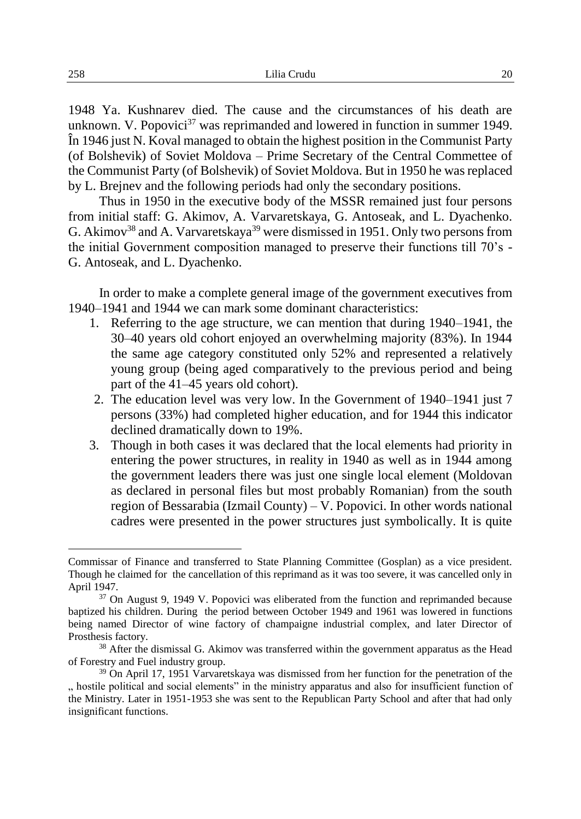1948 Ya. Kushnarev died. The cause and the circumstances of his death are unknown. V. Popovici $37$  was reprimanded and lowered in function in summer 1949. În 1946 just N. Koval managed to obtain the highest position in the Communist Party (of Bolshevik) of Soviet Moldova – Prime Secretary of the Central Commettee of the Communist Party (of Bolshevik) of Soviet Moldova. But in 1950 he was replaced by L. Brejnev and the following periods had only the secondary positions.

Thus in 1950 in the executive body of the MSSR remained just four persons from initial staff: G. Akimov, A. Varvaretskaya, G. Antoseak, and L. Dyachenko. G. Akimov<sup>38</sup> and A. Varvaretskaya<sup>39</sup> were dismissed in 1951. Only two persons from the initial Government composition managed to preserve their functions till 70's - G. Antoseak, and L. Dyachenko.

In order to make a complete general image of the government executives from 1940–1941 and 1944 we can mark some dominant characteristics:

- 1. Referring to the age structure, we can mention that during 1940–1941, the 30–40 years old cohort enjoyed an overwhelming majority (83%). In 1944 the same age category constituted only 52% and represented a relatively young group (being aged comparatively to the previous period and being part of the 41–45 years old cohort).
- 2. The education level was very low. In the Government of 1940–1941 just 7 persons (33%) had completed higher education, and for 1944 this indicator declined dramatically down to 19%.
- 3. Though in both cases it was declared that the local elements had priority in entering the power structures, in reality in 1940 as well as in 1944 among the government leaders there was just one single local element (Moldovan as declared in personal files but most probably Romanian) from the south region of Bessarabia (Izmail County) – V. Popovici. In other words national cadres were presented in the power structures just symbolically. It is quite

Commissar of Finance and transferred to State Planning Committee (Gosplan) as a vice president. Though he claimed for the cancellation of this reprimand as it was too severe, it was cancelled only in April 1947.

<sup>&</sup>lt;sup>37</sup> On August 9, 1949 V. Popovici was eliberated from the function and reprimanded because baptized his children. During the period between October 1949 and 1961 was lowered in functions being named Director of wine factory of champaigne industrial complex, and later Director of Prosthesis factory.

<sup>&</sup>lt;sup>38</sup> After the dismissal G. Akimov was transferred within the government apparatus as the Head of Forestry and Fuel industry group.

<sup>39</sup> On April 17, 1951 Varvaretskaya was dismissed from her function for the penetration of the ., hostile political and social elements" in the ministry apparatus and also for insufficient function of the Ministry. Later in 1951-1953 she was sent to the Republican Party School and after that had only insignificant functions.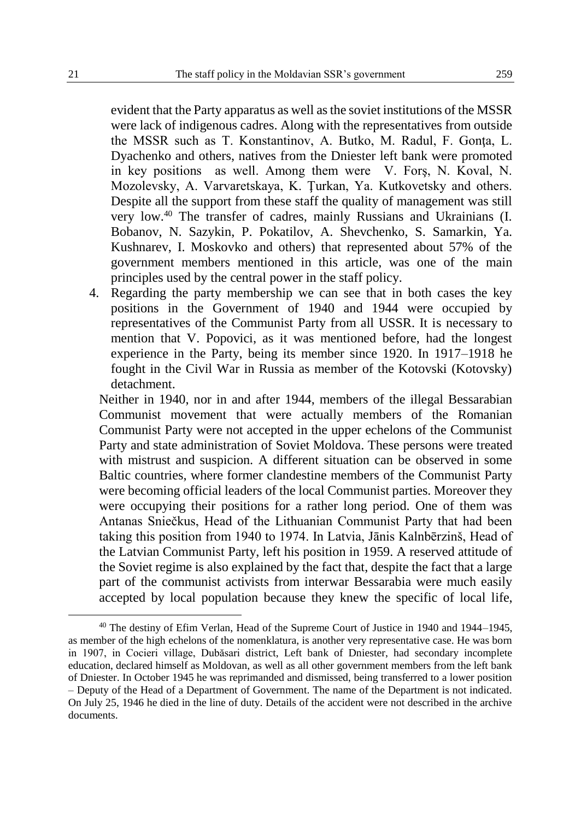evident that the Party apparatus as well as the soviet institutions of the MSSR were lack of indigenous cadres. Along with the representatives from outside the MSSR such as T. Konstantinov, A. Butko, M. Radul, F. Gonta, L. Dyachenko and others, natives from the Dniester left bank were promoted in key positions as well. Among them were V. Forş, N. Koval, N. Mozolevsky, A. Varvaretskaya, K. Ţurkan, Ya. Kutkovetsky and others. Despite all the support from these staff the quality of management was still very low.<sup>40</sup> The transfer of cadres, mainly Russians and Ukrainians (I. Bobanov, N. Sazykin, P. Pokatilov, A. Shevchenko, S. Samarkin, Ya. Kushnarev, I. Moskovko and others) that represented about 57% of the government members mentioned in this article, was one of the main principles used by the central power in the staff policy.

4. Regarding the party membership we can see that in both cases the key positions in the Government of 1940 and 1944 were occupied by representatives of the Communist Party from all USSR. It is necessary to mention that V. Popovici, as it was mentioned before, had the longest experience in the Party, being its member since 1920. In 1917–1918 he fought in the Civil War in Russia as member of the Kotovski (Kotovsky) detachment.

Neither in 1940, nor in and after 1944, members of the illegal Bessarabian Communist movement that were actually members of the Romanian Communist Party were not accepted in the upper echelons of the Communist Party and state administration of Soviet Moldova. These persons were treated with mistrust and suspicion. A different situation can be observed in some Baltic countries, where former clandestine members of the Communist Party were becoming official leaders of the local Communist parties. Moreover they were occupying their positions for a rather long period. One of them was Antanas Sniečkus, Head of the Lithuanian Communist Party that had been taking this position from 1940 to 1974. In Latvia, Jānis Kalnbērzinš, Head of the Latvian Communist Party, left his position in 1959. A reserved attitude of the Soviet regime is also explained by the fact that, despite the fact that a large part of the communist activists from interwar Bessarabia were much easily accepted by local population because they knew the specific of local life,

<sup>40</sup> The destiny of Efim Verlan, Head of the Supreme Court of Justice in 1940 and 1944–1945, as member of the high echelons of the nomenklatura, is another very representative case. He was born in 1907, in Cocieri village, Dubăsari district, Left bank of Dniester, had secondary incomplete education, declared himself as Moldovan, as well as all other government members from the left bank of Dniester. In October 1945 he was reprimanded and dismissed, being transferred to a lower position – Deputy of the Head of a Department of Government. The name of the Department is not indicated. On July 25, 1946 he died in the line of duty. Details of the accident were not described in the archive documents.